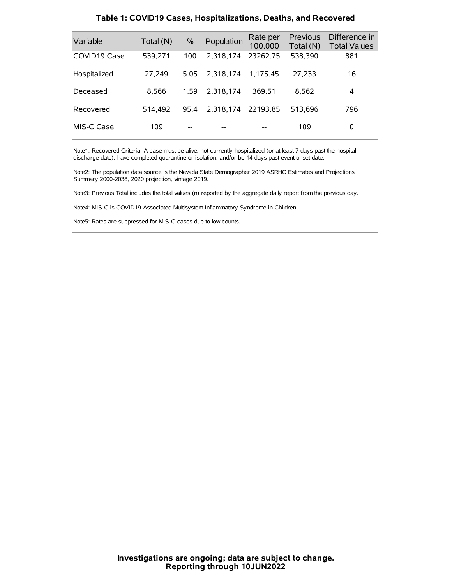| Variable     | Total (N) | $\frac{0}{0}$ | Population         | Rate per<br>100,000 | Previous<br>Total (N) | Difference in<br><b>Total Values</b> |
|--------------|-----------|---------------|--------------------|---------------------|-----------------------|--------------------------------------|
| COVID19 Case | 539,271   | 100           | 2.318.174          | 23262.75            | 538,390               | 881                                  |
| Hospitalized | 27,249    | 5.05          | 2.318.174          | 1.175.45            | 27,233                | 16                                   |
| Deceased     | 8.566     | 1.59          | 2.318.174          | 369.51              | 8.562                 | 4                                    |
| Recovered    | 514.492   | 95.4          | 2,318,174 22193.85 |                     | 513.696               | 796                                  |
| MIS-C Case   | 109       | --            |                    |                     | 109                   | 0                                    |

#### **Table 1: COVID19 Cases, Hospitalizations, Deaths, and Recovered**

Note1: Recovered Criteria: A case must be alive, not currently hospitalized (or at least 7 days past the hospital discharge date), have completed quarantine or isolation, and/or be 14 days past event onset date.

Note2: The population data source is the Nevada State Demographer 2019 ASRHO Estimates and Projections Summary 2000-2038, 2020 projection, vintage 2019.

Note3: Previous Total includes the total values (n) reported by the aggregate daily report from the previous day.

Note4: MIS-C is COVID19-Associated Multisystem Inflammatory Syndrome in Children.

Note5: Rates are suppressed for MIS-C cases due to low counts.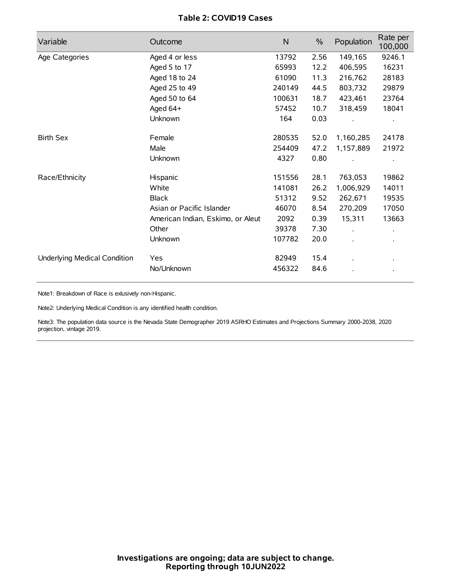# **Table 2: COVID19 Cases**

| Variable                     | Outcome                           | N      | $\frac{0}{0}$ | Population           | Rate per<br>100,000  |
|------------------------------|-----------------------------------|--------|---------------|----------------------|----------------------|
| Age Categories               | Aged 4 or less                    | 13792  | 2.56          | 149,165              | 9246.1               |
|                              | Aged 5 to 17                      | 65993  | 12.2          | 406,595              | 16231                |
|                              | Aged 18 to 24                     | 61090  | 11.3          | 216,762              | 28183                |
|                              | Aged 25 to 49                     | 240149 | 44.5          | 803,732              | 29879                |
|                              | Aged 50 to 64                     | 100631 | 18.7          | 423,461              | 23764                |
|                              | Aged 64+                          | 57452  | 10.7          | 318,459              | 18041                |
|                              | Unknown                           | 164    | 0.03          |                      |                      |
| <b>Birth Sex</b>             | Female                            | 280535 | 52.0          | 1,160,285            | 24178                |
|                              | Male                              | 254409 | 47.2          | 1,157,889            | 21972                |
|                              | Unknown                           | 4327   | 0.80          |                      |                      |
| Race/Ethnicity               | Hispanic                          | 151556 | 28.1          | 763,053              | 19862                |
|                              | White                             | 141081 | 26.2          | 1,006,929            | 14011                |
|                              | <b>Black</b>                      | 51312  | 9.52          | 262,671              | 19535                |
|                              | Asian or Pacific Islander         | 46070  | 8.54          | 270,209              | 17050                |
|                              | American Indian, Eskimo, or Aleut | 2092   | 0.39          | 15,311               | 13663                |
|                              | Other                             | 39378  | 7.30          | $\ddot{\phantom{a}}$ | $\ddot{\phantom{0}}$ |
|                              | Unknown                           | 107782 | 20.0          | ÷.                   |                      |
| Underlying Medical Condition | Yes                               | 82949  | 15.4          |                      |                      |
|                              | No/Unknown                        | 456322 | 84.6          |                      |                      |

Note1: Breakdown of Race is exlusively non-Hispanic.

Note2: Underlying Medical Condition is any identified health condition.

Note3: The population data source is the Nevada State Demographer 2019 ASRHO Estimates and Projections Summary 2000-2038, 2020 projection, vintage 2019.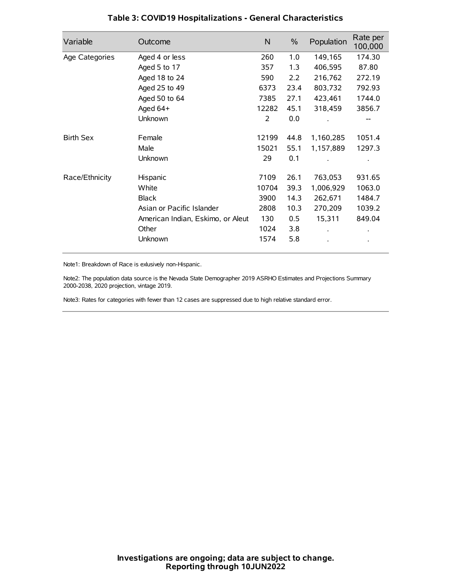| Variable         | Outcome                           | $\mathsf{N}$ | $\%$ | Population | Rate per<br>100,000 |
|------------------|-----------------------------------|--------------|------|------------|---------------------|
| Age Categories   | Aged 4 or less                    | 260          | 1.0  | 149,165    | 174.30              |
|                  | Aged 5 to 17                      | 357          | 1.3  | 406,595    | 87.80               |
|                  | Aged 18 to 24                     | 590          | 2.2  | 216,762    | 272.19              |
|                  | Aged 25 to 49                     | 6373         | 23.4 | 803,732    | 792.93              |
|                  | Aged 50 to 64                     | 7385         | 27.1 | 423,461    | 1744.0              |
|                  | Aged 64+                          | 12282        | 45.1 | 318,459    | 3856.7              |
|                  | Unknown                           | 2            | 0.0  |            |                     |
| <b>Birth Sex</b> | Female                            | 12199        | 44.8 | 1,160,285  | 1051.4              |
|                  | Male                              | 15021        | 55.1 | 1,157,889  | 1297.3              |
|                  | Unknown                           | 29           | 0.1  |            |                     |
| Race/Ethnicity   | Hispanic                          | 7109         | 26.1 | 763,053    | 931.65              |
|                  | White                             | 10704        | 39.3 | 1,006,929  | 1063.0              |
|                  | <b>Black</b>                      | 3900         | 14.3 | 262,671    | 1484.7              |
|                  | Asian or Pacific Islander         | 2808         | 10.3 | 270,209    | 1039.2              |
|                  | American Indian, Eskimo, or Aleut | 130          | 0.5  | 15,311     | 849.04              |
|                  | Other                             | 1024         | 3.8  |            |                     |
|                  | Unknown                           | 1574         | 5.8  |            |                     |

# **Table 3: COVID19 Hospitalizations - General Characteristics**

Note1: Breakdown of Race is exlusively non-Hispanic.

Note2: The population data source is the Nevada State Demographer 2019 ASRHO Estimates and Projections Summary 2000-2038, 2020 projection, vintage 2019.

Note3: Rates for categories with fewer than 12 cases are suppressed due to high relative standard error.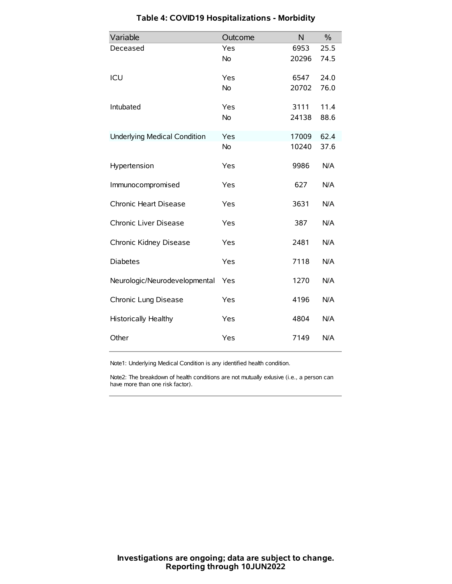| Variable                            | Outcome   | N     | $\%$ |
|-------------------------------------|-----------|-------|------|
| Deceased                            | Yes       | 6953  | 25.5 |
|                                     | No        | 20296 | 74.5 |
| ICU                                 | Yes       | 6547  | 24.0 |
|                                     | <b>No</b> | 20702 | 76.0 |
| Intubated                           | Yes       | 3111  | 11.4 |
|                                     | No        | 24138 | 88.6 |
| <b>Underlying Medical Condition</b> | Yes       | 17009 | 62.4 |
|                                     | No        | 10240 | 37.6 |
| Hypertension                        | Yes       | 9986  | N/A  |
| Immunocompromised                   | Yes       | 627   | N/A  |
| Chronic Heart Disease               | Yes       | 3631  | N/A  |
| Chronic Liver Disease               | Yes       | 387   | N/A  |
| Chronic Kidney Disease              | Yes       | 2481  | N/A  |
| <b>Diabetes</b>                     | Yes       | 7118  | N/A  |
| Neurologic/Neurodevelopmental       | Yes       | 1270  | N/A  |
| Chronic Lung Disease                | Yes       | 4196  | N/A  |
| <b>Historically Healthy</b>         | Yes       | 4804  | N/A  |
| Other                               | Yes       | 7149  | N/A  |

# **Table 4: COVID19 Hospitalizations - Morbidity**

Note1: Underlying Medical Condition is any identified health condition.

Note2: The breakdown of health conditions are not mutually exlusive (i.e., a person can have more than one risk factor).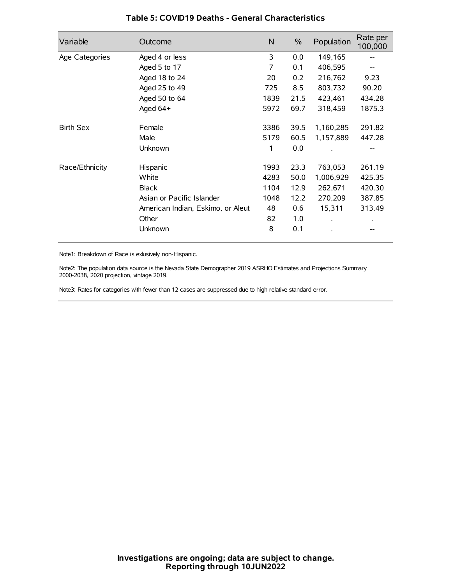| Variable         | Outcome                           | N    | $\frac{0}{0}$ | Population | Rate per<br>100,000 |
|------------------|-----------------------------------|------|---------------|------------|---------------------|
| Age Categories   | Aged 4 or less                    | 3    | 0.0           | 149,165    |                     |
|                  | Aged 5 to 17                      | 7    | 0.1           | 406,595    |                     |
|                  | Aged 18 to 24                     | 20   | 0.2           | 216,762    | 9.23                |
|                  | Aged 25 to 49                     | 725  | 8.5           | 803,732    | 90.20               |
|                  | Aged 50 to 64                     | 1839 | 21.5          | 423,461    | 434.28              |
|                  | Aged 64+                          | 5972 | 69.7          | 318,459    | 1875.3              |
| <b>Birth Sex</b> | Female                            | 3386 | 39.5          | 1,160,285  | 291.82              |
|                  | Male                              | 5179 | 60.5          | 1,157,889  | 447.28              |
|                  | Unknown                           | 1    | 0.0           |            |                     |
| Race/Ethnicity   | Hispanic                          | 1993 | 23.3          | 763,053    | 261.19              |
|                  | White                             | 4283 | 50.0          | 1,006,929  | 425.35              |
|                  | <b>Black</b>                      | 1104 | 12.9          | 262,671    | 420.30              |
|                  | Asian or Pacific Islander         | 1048 | 12.2          | 270,209    | 387.85              |
|                  | American Indian, Eskimo, or Aleut | 48   | 0.6           | 15,311     | 313.49              |
|                  | Other                             | 82   | 1.0           |            |                     |
|                  | Unknown                           | 8    | 0.1           |            |                     |

### **Table 5: COVID19 Deaths - General Characteristics**

Note1: Breakdown of Race is exlusively non-Hispanic.

Note2: The population data source is the Nevada State Demographer 2019 ASRHO Estimates and Projections Summary 2000-2038, 2020 projection, vintage 2019.

Note3: Rates for categories with fewer than 12 cases are suppressed due to high relative standard error.